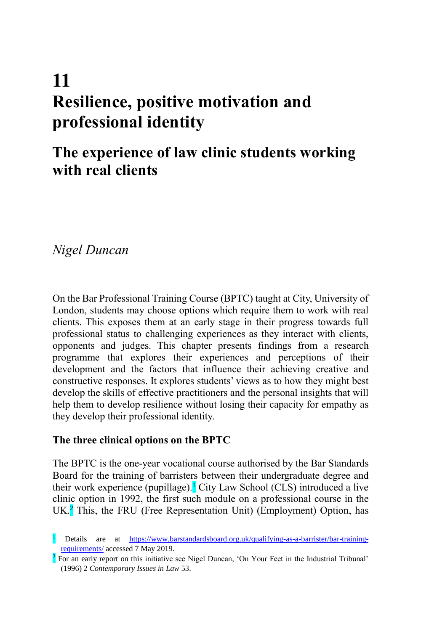# **The experience of law clinic students working with real clients**

*Nigel Duncan*

l

On the Bar Professional Training Course (BPTC) taught at City, University of London, students may choose options which require them to work with real clients. This exposes them at an early stage in their progress towards full professional status to challenging experiences as they interact with clients, opponents and judges. This chapter presents findings from a research programme that explores their experiences and perceptions of their development and the factors that influence their achieving creative and constructive responses. It explores students' views as to how they might best develop the skills of effective practitioners and the personal insights that will help them to develop resilience without losing their capacity for empathy as they develop their professional identity.

# **The three clinical options on the BPTC**

The BPTC is the one-year vocational course authorised by the Bar Standards Board for the training of barristers between their undergraduate degree and their work experience (pupillage).<sup>1</sup> City Law School (CLS) introduced a live clinic option in 1992, the first such module on a professional course in the UK.<sup>2</sup> This, the FRU (Free Representation Unit) (Employment) Option, has

<sup>1</sup> Details are at [https://www.barstandardsboard.org.uk/qualifying-as-a-barrister/bar-training](https://www.barstandardsboard.org.uk/qualifying-as-a-barrister/bar-training-requirements/)[requirements/](https://www.barstandardsboard.org.uk/qualifying-as-a-barrister/bar-training-requirements/) accessed 7 May 2019.

<sup>&</sup>lt;sup>2</sup> For an early report on this initiative see Nigel Duncan, 'On Your Feet in the Industrial Tribunal' (1996) 2 *Contemporary Issues in Law* 53.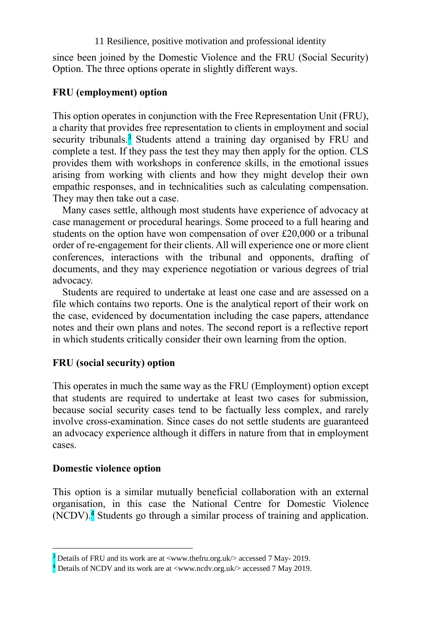since been joined by the Domestic Violence and the FRU (Social Security) Option. The three options operate in slightly different ways.

## **FRU (employment) option**

This option operates in conjunction with the Free Representation Unit (FRU), a charity that provides free representation to clients in employment and social security tribunals.<sup>3</sup> Students attend a training day organised by FRU and complete a test. If they pass the test they may then apply for the option. CLS provides them with workshops in conference skills, in the emotional issues arising from working with clients and how they might develop their own empathic responses, and in technicalities such as calculating compensation. They may then take out a case.

Many cases settle, although most students have experience of advocacy at case management or procedural hearings. Some proceed to a full hearing and students on the option have won compensation of over £20,000 or a tribunal order of re-engagement for their clients. All will experience one or more client conferences, interactions with the tribunal and opponents, drafting of documents, and they may experience negotiation or various degrees of trial advocacy.

Students are required to undertake at least one case and are assessed on a file which contains two reports. One is the analytical report of their work on the case, evidenced by documentation including the case papers, attendance notes and their own plans and notes. The second report is a reflective report in which students critically consider their own learning from the option.

# **FRU (social security) option**

This operates in much the same way as the FRU (Employment) option except that students are required to undertake at least two cases for submission, because social security cases tend to be factually less complex, and rarely involve cross-examination. Since cases do not settle students are guaranteed an advocacy experience although it differs in nature from that in employment cases.

#### **Domestic violence option**

l

This option is a similar mutually beneficial collaboration with an external organisation, in this case the National Centre for Domestic Violence  $(NCDV)$ <sup>4</sup>. Students go through a similar process of training and application.

<sup>&</sup>lt;sup>3</sup> Details of FRU and its work are at <www.thefru.org.uk/> accessed 7 May- 2019.

<sup>&</sup>lt;sup>4</sup> Details of NCDV and its work are at <www.ncdv.org.uk/> accessed 7 May 2019.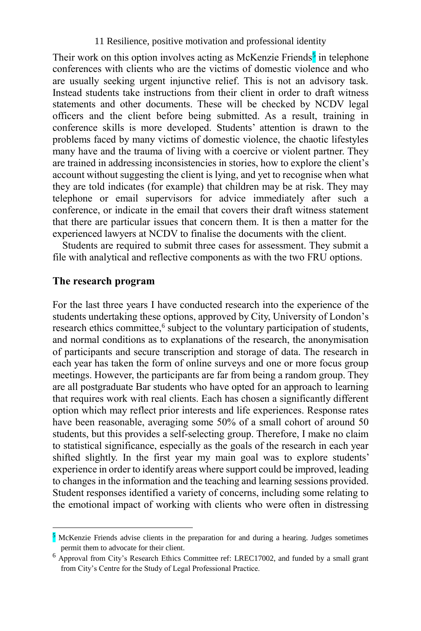Their work on this option involves acting as McKenzie Friends<sup>5</sup> in telephone conferences with clients who are the victims of domestic violence and who are usually seeking urgent injunctive relief. This is not an advisory task. Instead students take instructions from their client in order to draft witness statements and other documents. These will be checked by NCDV legal officers and the client before being submitted. As a result, training in conference skills is more developed. Students' attention is drawn to the problems faced by many victims of domestic violence, the chaotic lifestyles many have and the trauma of living with a coercive or violent partner. They are trained in addressing inconsistencies in stories, how to explore the client's account without suggesting the client is lying, and yet to recognise when what they are told indicates (for example) that children may be at risk. They may telephone or email supervisors for advice immediately after such a conference, or indicate in the email that covers their draft witness statement that there are particular issues that concern them. It is then a matter for the experienced lawyers at NCDV to finalise the documents with the client.

Students are required to submit three cases for assessment. They submit a file with analytical and reflective components as with the two FRU options.

#### **The research program**

l

For the last three years I have conducted research into the experience of the students undertaking these options, approved by City, University of London's research ethics committee,<sup>6</sup> subject to the voluntary participation of students, and normal conditions as to explanations of the research, the anonymisation of participants and secure transcription and storage of data. The research in each year has taken the form of online surveys and one or more focus group meetings. However, the participants are far from being a random group. They are all postgraduate Bar students who have opted for an approach to learning that requires work with real clients. Each has chosen a significantly different option which may reflect prior interests and life experiences. Response rates have been reasonable, averaging some 50% of a small cohort of around 50 students, but this provides a self-selecting group. Therefore, I make no claim to statistical significance, especially as the goals of the research in each year shifted slightly. In the first year my main goal was to explore students' experience in order to identify areas where support could be improved, leading to changes in the information and the teaching and learning sessions provided. Student responses identified a variety of concerns, including some relating to the emotional impact of working with clients who were often in distressing

 $\frac{5}{2}$  McKenzie Friends advise clients in the preparation for and during a hearing. Judges sometimes permit them to advocate for their client.

<sup>6</sup> Approval from City's Research Ethics Committee ref: LREC17002, and funded by a small grant from City's Centre for the Study of Legal Professional Practice.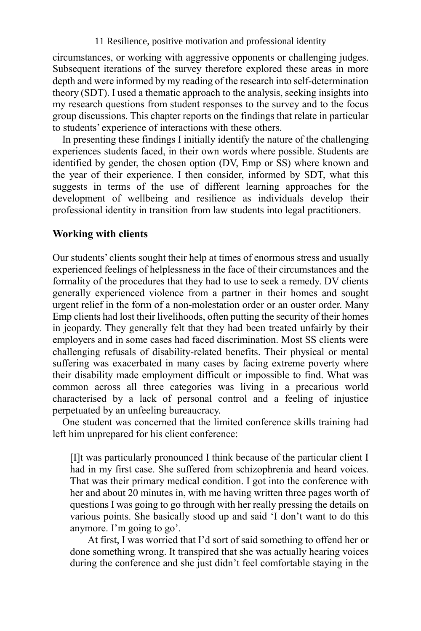circumstances, or working with aggressive opponents or challenging judges. Subsequent iterations of the survey therefore explored these areas in more depth and were informed by my reading of the research into self-determination theory (SDT). I used a thematic approach to the analysis, seeking insights into my research questions from student responses to the survey and to the focus group discussions. This chapter reports on the findings that relate in particular to students' experience of interactions with these others.

In presenting these findings I initially identify the nature of the challenging experiences students faced, in their own words where possible. Students are identified by gender, the chosen option (DV, Emp or SS) where known and the year of their experience. I then consider, informed by SDT, what this suggests in terms of the use of different learning approaches for the development of wellbeing and resilience as individuals develop their professional identity in transition from law students into legal practitioners.

#### **Working with clients**

Our students' clients sought their help at times of enormous stress and usually experienced feelings of helplessness in the face of their circumstances and the formality of the procedures that they had to use to seek a remedy. DV clients generally experienced violence from a partner in their homes and sought urgent relief in the form of a non-molestation order or an ouster order. Many Emp clients had lost their livelihoods, often putting the security of their homes in jeopardy. They generally felt that they had been treated unfairly by their employers and in some cases had faced discrimination. Most SS clients were challenging refusals of disability-related benefits. Their physical or mental suffering was exacerbated in many cases by facing extreme poverty where their disability made employment difficult or impossible to find. What was common across all three categories was living in a precarious world characterised by a lack of personal control and a feeling of injustice perpetuated by an unfeeling bureaucracy.

One student was concerned that the limited conference skills training had left him unprepared for his client conference:

[I]t was particularly pronounced I think because of the particular client I had in my first case. She suffered from schizophrenia and heard voices. That was their primary medical condition. I got into the conference with her and about 20 minutes in, with me having written three pages worth of questions I was going to go through with her really pressing the details on various points. She basically stood up and said 'I don't want to do this anymore. I'm going to go'.

At first, I was worried that I'd sort of said something to offend her or done something wrong. It transpired that she was actually hearing voices during the conference and she just didn't feel comfortable staying in the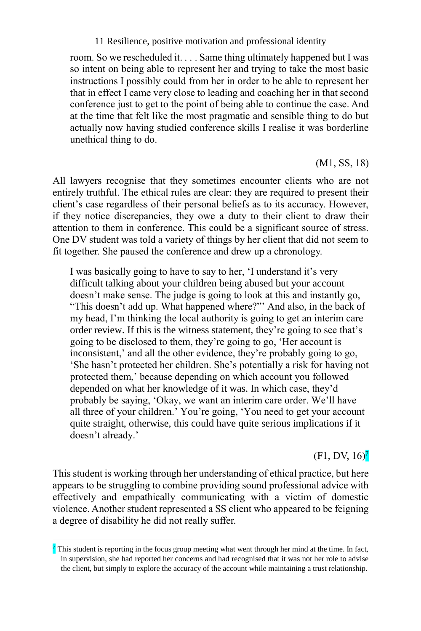room. So we rescheduled it. . . . Same thing ultimately happened but I was so intent on being able to represent her and trying to take the most basic instructions I possibly could from her in order to be able to represent her that in effect I came very close to leading and coaching her in that second conference just to get to the point of being able to continue the case. And at the time that felt like the most pragmatic and sensible thing to do but actually now having studied conference skills I realise it was borderline unethical thing to do.

(M1, SS, 18)

All lawyers recognise that they sometimes encounter clients who are not entirely truthful. The ethical rules are clear: they are required to present their client's case regardless of their personal beliefs as to its accuracy. However, if they notice discrepancies, they owe a duty to their client to draw their attention to them in conference. This could be a significant source of stress. One DV student was told a variety of things by her client that did not seem to fit together. She paused the conference and drew up a chronology.

I was basically going to have to say to her, 'I understand it's very difficult talking about your children being abused but your account doesn't make sense. The judge is going to look at this and instantly go, "This doesn't add up. What happened where?"" And also, in the back of my head, I'm thinking the local authority is going to get an interim care order review. If this is the witness statement, they're going to see that's going to be disclosed to them, they're going to go, 'Her account is inconsistent,' and all the other evidence, they're probably going to go, 'She hasn't protected her children. She's potentially a risk for having not protected them,' because depending on which account you followed depended on what her knowledge of it was. In which case, they'd probably be saying, 'Okay, we want an interim care order. We'll have all three of your children.' You're going, 'You need to get your account quite straight, otherwise, this could have quite serious implications if it doesn't already.'

 $(F1, DV, 16)<sup>7</sup>$ 

This student is working through her understanding of ethical practice, but here appears to be struggling to combine providing sound professional advice with effectively and empathically communicating with a victim of domestic violence. Another student represented a SS client who appeared to be feigning a degree of disability he did not really suffer.

<sup>&</sup>lt;sup>7</sup> This student is reporting in the focus group meeting what went through her mind at the time. In fact, in supervision, she had reported her concerns and had recognised that it was not her role to advise the client, but simply to explore the accuracy of the account while maintaining a trust relationship.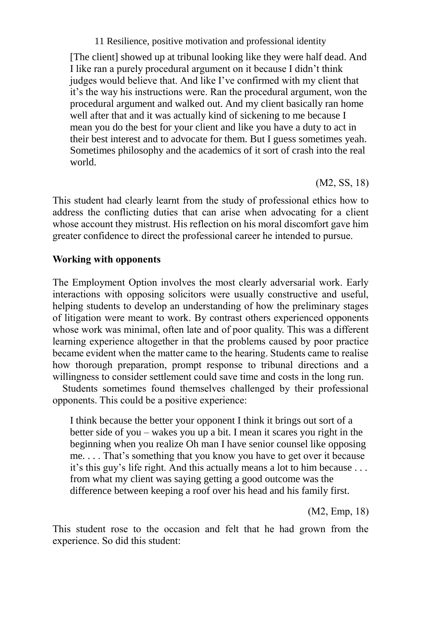[The client] showed up at tribunal looking like they were half dead. And I like ran a purely procedural argument on it because I didn't think judges would believe that. And like I've confirmed with my client that it's the way his instructions were. Ran the procedural argument, won the procedural argument and walked out. And my client basically ran home well after that and it was actually kind of sickening to me because I mean you do the best for your client and like you have a duty to act in their best interest and to advocate for them. But I guess sometimes yeah. Sometimes philosophy and the academics of it sort of crash into the real world.

(M2, SS, 18)

This student had clearly learnt from the study of professional ethics how to address the conflicting duties that can arise when advocating for a client whose account they mistrust. His reflection on his moral discomfort gave him greater confidence to direct the professional career he intended to pursue.

# **Working with opponents**

The Employment Option involves the most clearly adversarial work. Early interactions with opposing solicitors were usually constructive and useful, helping students to develop an understanding of how the preliminary stages of litigation were meant to work. By contrast others experienced opponents whose work was minimal, often late and of poor quality. This was a different learning experience altogether in that the problems caused by poor practice became evident when the matter came to the hearing. Students came to realise how thorough preparation, prompt response to tribunal directions and a willingness to consider settlement could save time and costs in the long run.

Students sometimes found themselves challenged by their professional opponents. This could be a positive experience:

I think because the better your opponent I think it brings out sort of a better side of you – wakes you up a bit. I mean it scares you right in the beginning when you realize Oh man I have senior counsel like opposing me. . . . That's something that you know you have to get over it because it's this guy's life right. And this actually means a lot to him because . . . from what my client was saying getting a good outcome was the difference between keeping a roof over his head and his family first.

(M2, Emp, 18)

This student rose to the occasion and felt that he had grown from the experience. So did this student: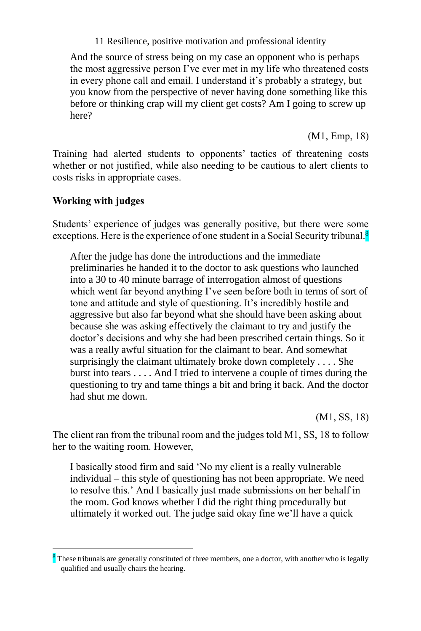And the source of stress being on my case an opponent who is perhaps the most aggressive person I've ever met in my life who threatened costs in every phone call and email. I understand it's probably a strategy, but you know from the perspective of never having done something like this before or thinking crap will my client get costs? Am I going to screw up here?

(M1, Emp, 18)

Training had alerted students to opponents' tactics of threatening costs whether or not justified, while also needing to be cautious to alert clients to costs risks in appropriate cases.

# **Working with judges**

l

Students' experience of judges was generally positive, but there were some exceptions. Here is the experience of one student in a Social Security tribunal.<sup>8</sup>

After the judge has done the introductions and the immediate preliminaries he handed it to the doctor to ask questions who launched into a 30 to 40 minute barrage of interrogation almost of questions which went far beyond anything I've seen before both in terms of sort of tone and attitude and style of questioning. It's incredibly hostile and aggressive but also far beyond what she should have been asking about because she was asking effectively the claimant to try and justify the doctor's decisions and why she had been prescribed certain things. So it was a really awful situation for the claimant to bear. And somewhat surprisingly the claimant ultimately broke down completely . . . . She burst into tears . . . . And I tried to intervene a couple of times during the questioning to try and tame things a bit and bring it back. And the doctor had shut me down.

(M1, SS, 18)

The client ran from the tribunal room and the judges told M1, SS, 18 to follow her to the waiting room. However,

I basically stood firm and said 'No my client is a really vulnerable individual – this style of questioning has not been appropriate. We need to resolve this.' And I basically just made submissions on her behalf in the room. God knows whether I did the right thing procedurally but ultimately it worked out. The judge said okay fine we'll have a quick

<sup>&</sup>lt;sup>8</sup> These tribunals are generally constituted of three members, one a doctor, with another who is legally qualified and usually chairs the hearing.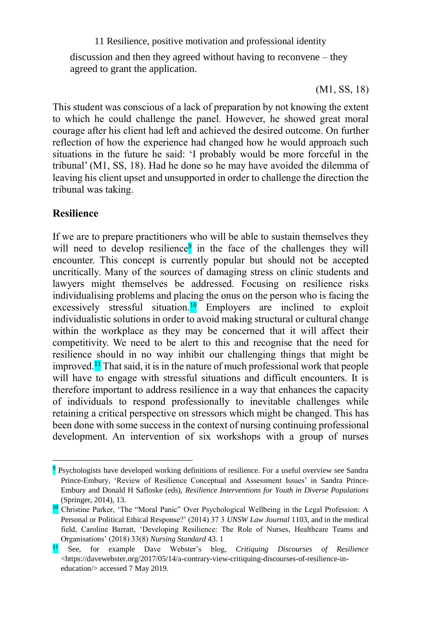discussion and then they agreed without having to reconvene – they agreed to grant the application.

(M1, SS, 18)

This student was conscious of a lack of preparation by not knowing the extent to which he could challenge the panel. However, he showed great moral courage after his client had left and achieved the desired outcome. On further reflection of how the experience had changed how he would approach such situations in the future he said: 'I probably would be more forceful in the tribunal' (M1, SS, 18). Had he done so he may have avoided the dilemma of leaving his client upset and unsupported in order to challenge the direction the tribunal was taking.

#### **Resilience**

l

If we are to prepare practitioners who will be able to sustain themselves they will need to develop resilience<sup>9</sup> in the face of the challenges they will encounter. This concept is currently popular but should not be accepted uncritically. Many of the sources of damaging stress on clinic students and lawyers might themselves be addressed. Focusing on resilience risks individualising problems and placing the onus on the person who is facing the excessively stressful situation.<sup>10</sup> Employers are inclined to exploit individualistic solutions in order to avoid making structural or cultural change within the workplace as they may be concerned that it will affect their competitivity. We need to be alert to this and recognise that the need for resilience should in no way inhibit our challenging things that might be improved.<sup>11</sup> That said, it is in the nature of much professional work that people will have to engage with stressful situations and difficult encounters. It is therefore important to address resilience in a way that enhances the capacity of individuals to respond professionally to inevitable challenges while retaining a critical perspective on stressors which might be changed. This has been done with some success in the context of nursing continuing professional development. An intervention of six workshops with a group of nurses

<sup>&</sup>lt;sup>9</sup> Psychologists have developed working definitions of resilience. For a useful overview see Sandra Prince-Embury, 'Review of Resilience Conceptual and Assessment Issues' in Sandra Prince-Embury and Donald H Safloske (eds), *Resilience Interventions for Youth in Diverse Populations* (Springer, 2014), 13.

<sup>10</sup> Christine Parker, 'The "Moral Panic" Over Psychological Wellbeing in the Legal Profession: A Personal or Political Ethical Response?' (2014) 37 3 *UNSW Law Journal* 1103, and in the medical field, Caroline Barratt, 'Developing Resilience: The Role of Nurses, Healthcare Teams and Organisations' (2018) 33(8) *Nursing Standard* 43. 1

<sup>11</sup> See, for example Dave Webster's blog, *Critiquing Discourses of Resilience* [<https://davewebster.org/2017/05/14/a-contrary-view-critiquing-discourses-of-resilience-in](https://davewebster.org/2017/05/14/a-contrary-view-critiquing-discourses-of-resilience-in-education/)[education/>](https://davewebster.org/2017/05/14/a-contrary-view-critiquing-discourses-of-resilience-in-education/) accessed 7 May 2019.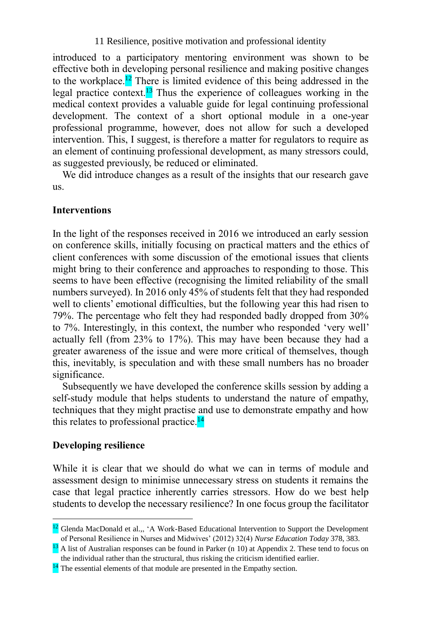introduced to a participatory mentoring environment was shown to be effective both in developing personal resilience and making positive changes to the workplace.<sup>12</sup> There is limited evidence of this being addressed in the legal practice context.<sup>13</sup> Thus the experience of colleagues working in the medical context provides a valuable guide for legal continuing professional development. The context of a short optional module in a one-year professional programme, however, does not allow for such a developed intervention. This, I suggest, is therefore a matter for regulators to require as an element of continuing professional development, as many stressors could, as suggested previously, be reduced or eliminated.

We did introduce changes as a result of the insights that our research gave us.

#### **Interventions**

In the light of the responses received in 2016 we introduced an early session on conference skills, initially focusing on practical matters and the ethics of client conferences with some discussion of the emotional issues that clients might bring to their conference and approaches to responding to those. This seems to have been effective (recognising the limited reliability of the small numbers surveyed). In 2016 only 45% of students felt that they had responded well to clients' emotional difficulties, but the following year this had risen to 79%. The percentage who felt they had responded badly dropped from 30% to 7%. Interestingly, in this context, the number who responded 'very well' actually fell (from 23% to 17%). This may have been because they had a greater awareness of the issue and were more critical of themselves, though this, inevitably, is speculation and with these small numbers has no broader significance.

Subsequently we have developed the conference skills session by adding a self-study module that helps students to understand the nature of empathy, techniques that they might practise and use to demonstrate empathy and how this relates to professional practice.<sup>14</sup>

#### **Developing resilience**

l

While it is clear that we should do what we can in terms of module and assessment design to minimise unnecessary stress on students it remains the case that legal practice inherently carries stressors. How do we best help students to develop the necessary resilience? In one focus group the facilitator

<sup>&</sup>lt;sup>12</sup> Glenda MacDonald et al.,,  $^4$ A Work-Based Educational Intervention to Support the Development of Personal Resilience in Nurses and Midwives' (2012) 32(4) *Nurse Education Today* 378, 383.

<sup>&</sup>lt;sup>13</sup> A list of Australian responses can be found in Parker (n 10) at Appendix 2. These tend to focus on the individual rather than the structural, thus risking the criticism identified earlier.

<sup>&</sup>lt;sup>14</sup> The essential elements of that module are presented in the Empathy section.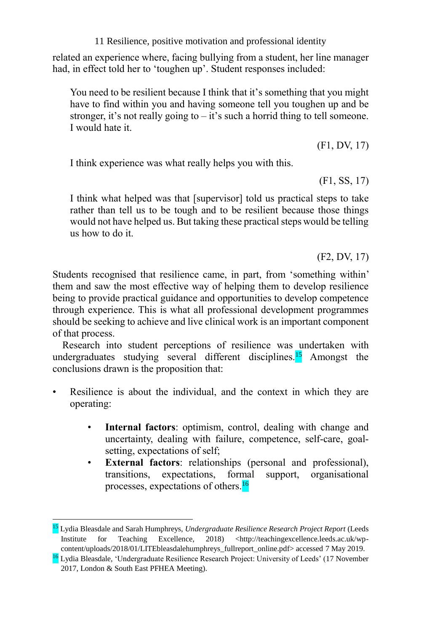related an experience where, facing bullying from a student, her line manager had, in effect told her to 'toughen up'. Student responses included:

You need to be resilient because I think that it's something that you might have to find within you and having someone tell you toughen up and be stronger, it's not really going to  $-i$  it's such a horrid thing to tell someone. I would hate it.

(F1, DV, 17)

I think experience was what really helps you with this.

(F1, SS, 17)

I think what helped was that [supervisor] told us practical steps to take rather than tell us to be tough and to be resilient because those things would not have helped us. But taking these practical steps would be telling us how to do it.

(F2, DV, 17)

Students recognised that resilience came, in part, from 'something within' them and saw the most effective way of helping them to develop resilience being to provide practical guidance and opportunities to develop competence through experience. This is what all professional development programmes should be seeking to achieve and live clinical work is an important component of that process.

Research into student perceptions of resilience was undertaken with undergraduates studying several different disciplines.<sup>15</sup> Amongst the conclusions drawn is the proposition that:

- Resilience is about the individual, and the context in which they are operating:
	- **Internal factors**: optimism, control, dealing with change and uncertainty, dealing with failure, competence, self-care, goalsetting, expectations of self;
	- **External factors**: relationships (personal and professional), transitions, expectations, formal support, organisational processes, expectations of others.<sup>16</sup>

<sup>15</sup> Lydia Bleasdale and Sarah Humphreys, *Undergraduate Resilience Research Project Report* (Leeds Institute for Teaching Excellence, 2018) <http://teachingexcellence.leeds.ac.uk/wpcontent/uploads/2018/01/LITEbleasdalehumphreys\_fullreport\_online.pdf> accessed 7 May 2019.

<sup>&</sup>lt;sup>16</sup> Lydia Bleasdale, 'Undergraduate Resilience Research Project: University of Leeds' (17 November 2017, London & South East PFHEA Meeting).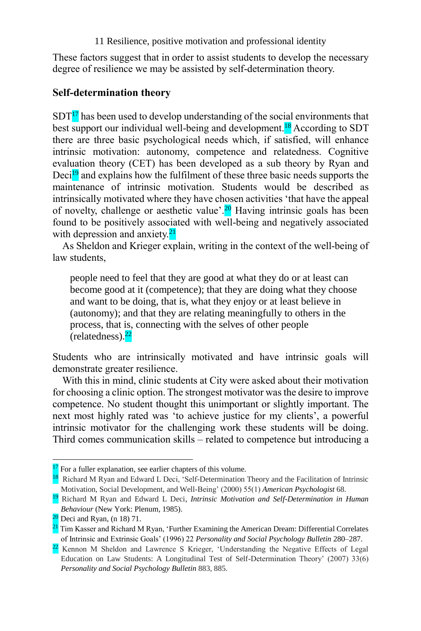These factors suggest that in order to assist students to develop the necessary degree of resilience we may be assisted by self-determination theory.

## **Self-determination theory**

 $SDT<sup>17</sup>$  has been used to develop understanding of the social environments that best support our individual well-being and development.<sup>18</sup> According to SDT there are three basic psychological needs which, if satisfied, will enhance intrinsic motivation: autonomy, competence and relatedness. Cognitive evaluation theory (CET) has been developed as a sub theory by Ryan and Deci<sup>19</sup> and explains how the fulfilment of these three basic needs supports the maintenance of intrinsic motivation. Students would be described as intrinsically motivated where they have chosen activities 'that have the appeal of novelty, challenge or aesthetic value'.<sup>20</sup> Having intrinsic goals has been found to be positively associated with well-being and negatively associated with depression and anxiety.<sup>21</sup>

As Sheldon and Krieger explain, writing in the context of the well-being of law students,

people need to feel that they are good at what they do or at least can become good at it (competence); that they are doing what they choose and want to be doing, that is, what they enjoy or at least believe in (autonomy); and that they are relating meaningfully to others in the process, that is, connecting with the selves of other people (relatedness).<sup>22</sup>

Students who are intrinsically motivated and have intrinsic goals will demonstrate greater resilience.

With this in mind, clinic students at City were asked about their motivation for choosing a clinic option. The strongest motivator was the desire to improve competence. No student thought this unimportant or slightly important. The next most highly rated was 'to achieve justice for my clients', a powerful intrinsic motivator for the challenging work these students will be doing. Third comes communication skills – related to competence but introducing a

<sup>&</sup>lt;sup>17</sup> For a fuller explanation, see earlier chapters of this volume.

<sup>&</sup>lt;sup>18</sup> Richard M Ryan and Edward L Deci, 'Self-Determination Theory and the Facilitation of Intrinsic Motivation, Social Development, and Well-Being' (2000) 55(1) *American Psychologist* 68.

<sup>19</sup> Richard M Ryan and Edward L Deci, *Intrinsic Motivation and Self-Determination in Human Behaviour* (New York: Plenum, 1985).

 $20$  Deci and Ryan, (n 18) 71.

<sup>&</sup>lt;sup>21</sup> Tim Kasser and Richard M Ryan, 'Further Examining the American Dream: Differential Correlates of Intrinsic and Extrinsic Goals' (1996) 22 *Personality and Social Psychology Bulletin* 280–287.

<sup>&</sup>lt;sup>22</sup> Kennon M Sheldon and Lawrence S Krieger, 'Understanding the Negative Effects of Legal Education on Law Students: A Longitudinal Test of Self-Determination Theory' (2007) 33(6) *Personality and Social Psychology Bulletin* 883, 885.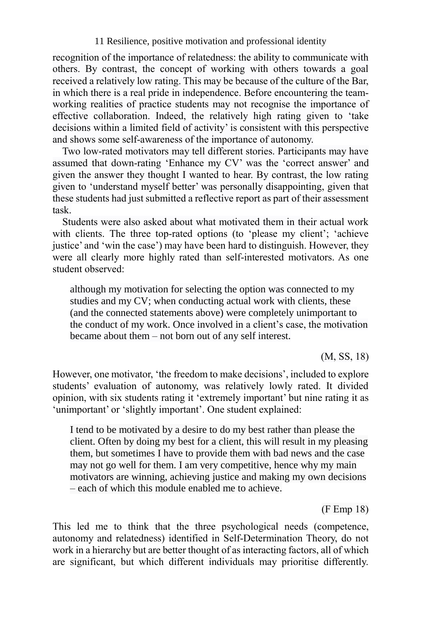recognition of the importance of relatedness: the ability to communicate with others. By contrast, the concept of working with others towards a goal received a relatively low rating. This may be because of the culture of the Bar, in which there is a real pride in independence. Before encountering the teamworking realities of practice students may not recognise the importance of effective collaboration. Indeed, the relatively high rating given to 'take decisions within a limited field of activity' is consistent with this perspective and shows some self-awareness of the importance of autonomy.

Two low-rated motivators may tell different stories. Participants may have assumed that down-rating 'Enhance my CV' was the 'correct answer' and given the answer they thought I wanted to hear. By contrast, the low rating given to 'understand myself better' was personally disappointing, given that these students had just submitted a reflective report as part of their assessment task.

Students were also asked about what motivated them in their actual work with clients. The three top-rated options (to 'please my client'; 'achieve justice' and 'win the case') may have been hard to distinguish. However, they were all clearly more highly rated than self-interested motivators. As one student observed:

although my motivation for selecting the option was connected to my studies and my CV; when conducting actual work with clients, these (and the connected statements above) were completely unimportant to the conduct of my work. Once involved in a client's case, the motivation became about them – not born out of any self interest.

(M, SS, 18)

However, one motivator, 'the freedom to make decisions', included to explore students' evaluation of autonomy, was relatively lowly rated. It divided opinion, with six students rating it 'extremely important' but nine rating it as 'unimportant' or 'slightly important'. One student explained:

I tend to be motivated by a desire to do my best rather than please the client. Often by doing my best for a client, this will result in my pleasing them, but sometimes I have to provide them with bad news and the case may not go well for them. I am very competitive, hence why my main motivators are winning, achieving justice and making my own decisions – each of which this module enabled me to achieve.

(F Emp 18)

This led me to think that the three psychological needs (competence, autonomy and relatedness) identified in Self-Determination Theory, do not work in a hierarchy but are better thought of as interacting factors, all of which are significant, but which different individuals may prioritise differently.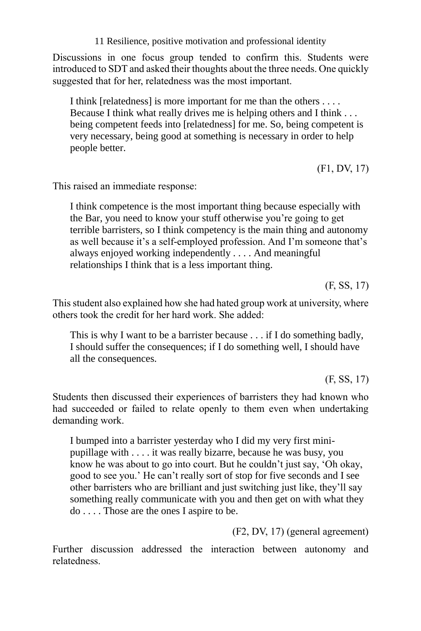Discussions in one focus group tended to confirm this. Students were introduced to SDT and asked their thoughts about the three needs. One quickly suggested that for her, relatedness was the most important.

I think [relatedness] is more important for me than the others . . . . Because I think what really drives me is helping others and I think . . . being competent feeds into [relatedness] for me. So, being competent is very necessary, being good at something is necessary in order to help people better.

(F1, DV, 17)

This raised an immediate response:

I think competence is the most important thing because especially with the Bar, you need to know your stuff otherwise you're going to get terrible barristers, so I think competency is the main thing and autonomy as well because it's a self-employed profession. And I'm someone that's always enjoyed working independently . . . . And meaningful relationships I think that is a less important thing.

(F, SS, 17)

This student also explained how she had hated group work at university, where others took the credit for her hard work. She added:

This is why I want to be a barrister because . . . if I do something badly, I should suffer the consequences; if I do something well, I should have all the consequences.

(F, SS, 17)

Students then discussed their experiences of barristers they had known who had succeeded or failed to relate openly to them even when undertaking demanding work.

I bumped into a barrister yesterday who I did my very first minipupillage with . . . . it was really bizarre, because he was busy, you know he was about to go into court. But he couldn't just say, 'Oh okay, good to see you.' He can't really sort of stop for five seconds and I see other barristers who are brilliant and just switching just like, they'll say something really communicate with you and then get on with what they do . . . . Those are the ones I aspire to be.

(F2, DV, 17) (general agreement)

Further discussion addressed the interaction between autonomy and relatedness.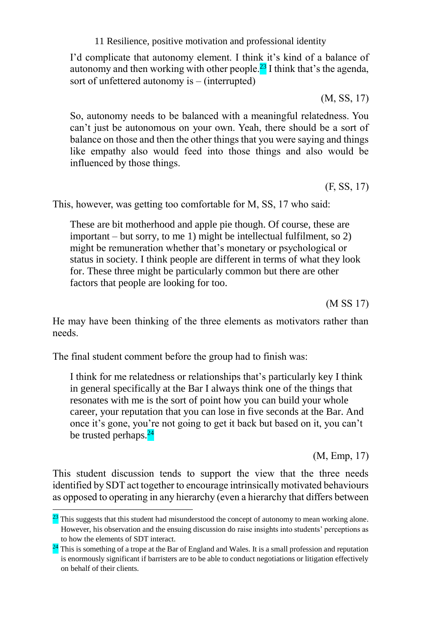I'd complicate that autonomy element. I think it's kind of a balance of autonomy and then working with other people.<sup>23</sup> I think that's the agenda, sort of unfettered autonomy is – (interrupted)

(M, SS, 17)

So, autonomy needs to be balanced with a meaningful relatedness. You can't just be autonomous on your own. Yeah, there should be a sort of balance on those and then the other things that you were saying and things like empathy also would feed into those things and also would be influenced by those things.

(F, SS, 17)

This, however, was getting too comfortable for M, SS, 17 who said:

These are bit motherhood and apple pie though. Of course, these are important – but sorry, to me 1) might be intellectual fulfilment, so 2) might be remuneration whether that's monetary or psychological or status in society. I think people are different in terms of what they look for. These three might be particularly common but there are other factors that people are looking for too.

(M SS 17)

He may have been thinking of the three elements as motivators rather than needs.

The final student comment before the group had to finish was:

l

I think for me relatedness or relationships that's particularly key I think in general specifically at the Bar I always think one of the things that resonates with me is the sort of point how you can build your whole career, your reputation that you can lose in five seconds at the Bar. And once it's gone, you're not going to get it back but based on it, you can't be trusted perhaps.<sup>24</sup>

(M, Emp, 17)

This student discussion tends to support the view that the three needs identified by SDT act together to encourage intrinsically motivated behaviours as opposed to operating in any hierarchy (even a hierarchy that differs between

 $\frac{23}{21}$  This suggests that this student had misunderstood the concept of autonomy to mean working alone. However, his observation and the ensuing discussion do raise insights into students' perceptions as to how the elements of SDT interact.

<sup>&</sup>lt;sup>24</sup> This is something of a trope at the Bar of England and Wales. It is a small profession and reputation is enormously significant if barristers are to be able to conduct negotiations or litigation effectively on behalf of their clients.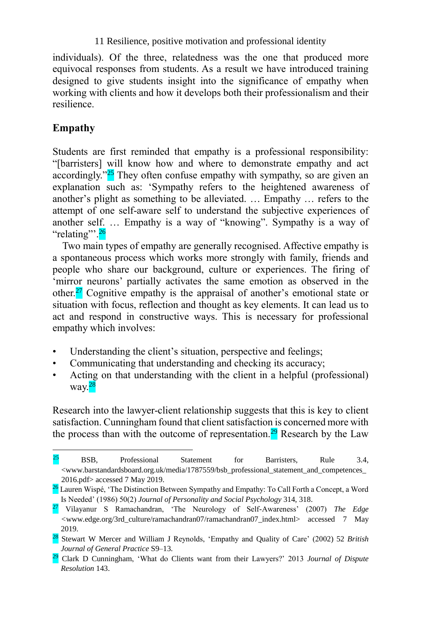individuals). Of the three, relatedness was the one that produced more equivocal responses from students. As a result we have introduced training designed to give students insight into the significance of empathy when working with clients and how it develops both their professionalism and their resilience.

# **Empathy**

l

Students are first reminded that empathy is a professional responsibility: "[barristers] will know how and where to demonstrate empathy and act accordingly."<sup>25</sup> They often confuse empathy with sympathy, so are given an explanation such as: 'Sympathy refers to the heightened awareness of another's plight as something to be alleviated. … Empathy … refers to the attempt of one self-aware self to understand the subjective experiences of another self. … Empathy is a way of "knowing". Sympathy is a way of "relating"<sup>26</sup>

Two main types of empathy are generally recognised. Affective empathy is a spontaneous process which works more strongly with family, friends and people who share our background, culture or experiences. The firing of 'mirror neurons' partially activates the same emotion as observed in the other.<sup>27</sup> Cognitive empathy is the appraisal of another's emotional state or situation with focus, reflection and thought as key elements. It can lead us to act and respond in constructive ways. This is necessary for professional empathy which involves:

- Understanding the client's situation, perspective and feelings;
- Communicating that understanding and checking its accuracy;
- Acting on that understanding with the client in a helpful (professional) way.<sup>28</sup>

Research into the lawyer-client relationship suggests that this is key to client satisfaction. Cunningham found that client satisfaction is concerned more with the process than with the outcome of representation.<sup>29</sup> Research by the Law

 $25$  BSB, Professional Statement for Barristers, Rule 3.4, <www.barstandardsboard.org.uk/media/1787559/bsb\_professional\_statement\_and\_competences\_ 2016.pdf> accessed 7 May 2019.

<sup>&</sup>lt;sup>26</sup> Lauren Wispé, 'The Distinction Between Sympathy and Empathy: To Call Forth a Concept, a Word Is Needed' (1986) 50(2) *Journal of Personality and Social Psychology* 314, 318.

<sup>27</sup> Vilayanur S Ramachandran, 'The Neurology of Self-Awareness' (2007) *The Edge <*www.edge.org/3rd\_culture/ramachandran07/ramachandran07\_index.html> accessed 7 May 2019.

<sup>28</sup> Stewart W Mercer and William J Reynolds, 'Empathy and Quality of Care' (2002) 52 *British Journal of General Practice* S9–13.

<sup>29</sup> Clark D Cunningham, 'What do Clients want from their Lawyers?' 2013 *Journal of Dispute Resolution* 143.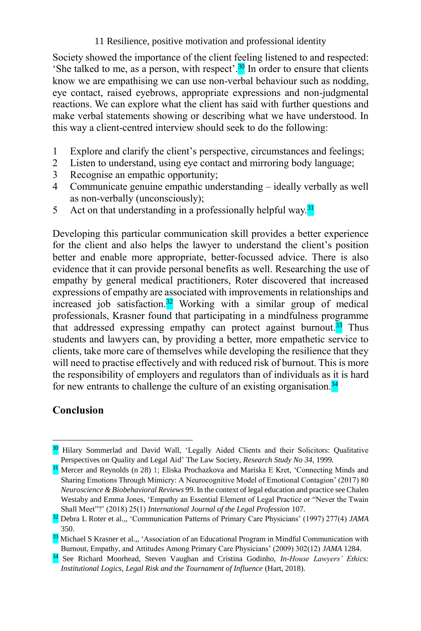Society showed the importance of the client feeling listened to and respected: 'She talked to me, as a person, with respect'. $30$  In order to ensure that clients know we are empathising we can use non-verbal behaviour such as nodding, eye contact, raised eyebrows, appropriate expressions and non-judgmental reactions. We can explore what the client has said with further questions and make verbal statements showing or describing what we have understood. In this way a client-centred interview should seek to do the following:

- 1 Explore and clarify the client's perspective, circumstances and feelings;
- 2 Listen to understand, using eye contact and mirroring body language;
- 3 Recognise an empathic opportunity;
- 4 Communicate genuine empathic understanding ideally verbally as well as non-verbally (unconsciously);
- 5 Act on that understanding in a professionally helpful way.<sup>31</sup>

Developing this particular communication skill provides a better experience for the client and also helps the lawyer to understand the client's position better and enable more appropriate, better-focussed advice. There is also evidence that it can provide personal benefits as well. Researching the use of empathy by general medical practitioners, Roter discovered that increased expressions of empathy are associated with improvements in relationships and increased job satisfaction.<sup>32</sup> Working with a similar group of medical professionals, Krasner found that participating in a mindfulness programme that addressed expressing empathy can protect against burnout.<sup>33</sup> Thus students and lawyers can, by providing a better, more empathetic service to clients, take more care of themselves while developing the resilience that they will need to practise effectively and with reduced risk of burnout. This is more the responsibility of employers and regulators than of individuals as it is hard for new entrants to challenge the culture of an existing organisation. $34$ 

# **Conclusion**

<sup>&</sup>lt;sup>30</sup> Hilary Sommerlad and David Wall, 'Legally Aided Clients and their Solicitors: Qualitative Perspectives on Quality and Legal Aid' The Law Society, *Research Study No 34*, 1999*.*

<sup>&</sup>lt;sup>31</sup> Mercer and Reynolds (n 28) 1; Eliska Prochazkova and Mariska E Kret, 'Connecting Minds and Sharing Emotions Through Mimicry: A Neurocognitive Model of Emotional Contagion' (2017) 80 *Neuroscience & Biobehavioral Reviews* 99. In the context of legal education and practice see Chalen Westaby and Emma Jones, 'Empathy an Essential Element of Legal Practice or "Never the Twain Shall Meet"?' (2018) 25(1) *International Journal of the Legal Profession* 107.

<sup>32</sup> Debra L Roter et al.,, 'Communication Patterns of Primary Care Physicians' (1997) 277(4) *JAMA* 350.

<sup>&</sup>lt;sup>33</sup> Michael S Krasner et al.,, 'Association of an Educational Program in Mindful Communication with Burnout, Empathy, and Attitudes Among Primary Care Physicians' (2009) 302(12) *JAMA* 1284.

<sup>34</sup> See Richard Moorhead, Steven Vaughan and Cristina Godinho, *In-House Lawyers' Ethics: Institutional Logics, Legal Risk and the Tournament of Influence* (Hart, 2018).